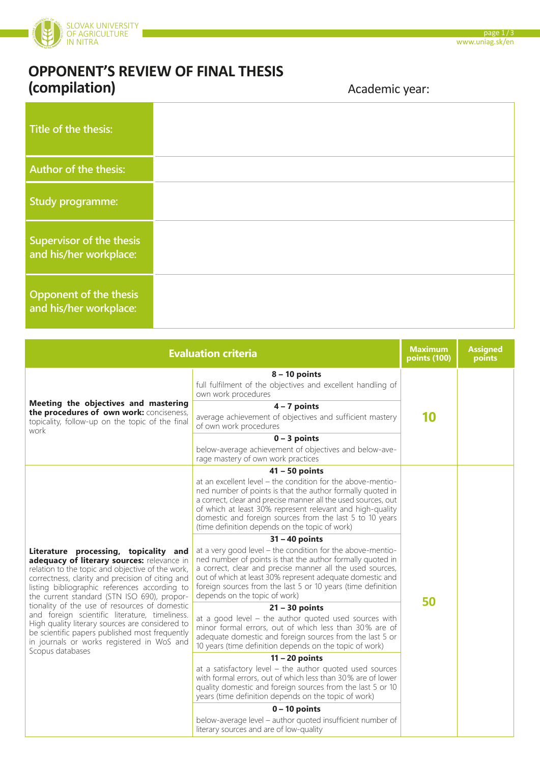

| Title of the thesis:                                      |  |
|-----------------------------------------------------------|--|
| Author of the thesis:                                     |  |
| <b>Study programme:</b>                                   |  |
| <b>Supervisor of the thesis</b><br>and his/her workplace: |  |
| Opponent of the thesis<br>and his/her workplace:          |  |

| <b>Evaluation criteria</b>                                                                                                                                                                                                                                                                                                                                                                                                                                                                                                                        |                                                                                                                                                                                                                                                                                                                                                                                                                                                                                                                                                                                                                                                                                                                                                                      |    | <b>Assigned</b><br>points |
|---------------------------------------------------------------------------------------------------------------------------------------------------------------------------------------------------------------------------------------------------------------------------------------------------------------------------------------------------------------------------------------------------------------------------------------------------------------------------------------------------------------------------------------------------|----------------------------------------------------------------------------------------------------------------------------------------------------------------------------------------------------------------------------------------------------------------------------------------------------------------------------------------------------------------------------------------------------------------------------------------------------------------------------------------------------------------------------------------------------------------------------------------------------------------------------------------------------------------------------------------------------------------------------------------------------------------------|----|---------------------------|
| Meeting the objectives and mastering<br>the procedures of own work: conciseness,<br>topicality, follow-up on the topic of the final<br>work                                                                                                                                                                                                                                                                                                                                                                                                       | $8 - 10$ points<br>full fulfilment of the objectives and excellent handling of<br>own work procedures<br>$4 - 7$ points<br>average achievement of objectives and sufficient mastery<br>of own work procedures<br>$0 - 3$ points                                                                                                                                                                                                                                                                                                                                                                                                                                                                                                                                      | 10 |                           |
|                                                                                                                                                                                                                                                                                                                                                                                                                                                                                                                                                   | below-average achievement of objectives and below-ave-<br>rage mastery of own work practices                                                                                                                                                                                                                                                                                                                                                                                                                                                                                                                                                                                                                                                                         |    |                           |
| Literature processing, topicality and<br>adequacy of literary sources: relevance in<br>relation to the topic and objective of the work,<br>correctness, clarity and precision of citing and<br>listing bibliographic references according to<br>the current standard (STN ISO 690), propor-<br>tionality of the use of resources of domestic<br>and foreign scientific literature, timeliness.<br>High quality literary sources are considered to<br>be scientific papers published most frequently<br>in journals or works registered in WoS and | $41 - 50$ points<br>at an excellent level – the condition for the above-mentio-<br>ned number of points is that the author formally quoted in<br>a correct, clear and precise manner all the used sources, out<br>of which at least 30% represent relevant and high-quality<br>domestic and foreign sources from the last 5 to 10 years<br>(time definition depends on the topic of work)<br>$31 - 40$ points<br>at a very good level – the condition for the above-mentio-<br>ned number of points is that the author formally quoted in<br>a correct, clear and precise manner all the used sources,<br>out of which at least 30% represent adequate domestic and<br>foreign sources from the last 5 or 10 years (time definition<br>depends on the topic of work) | 50 |                           |
|                                                                                                                                                                                                                                                                                                                                                                                                                                                                                                                                                   | $21 - 30$ points<br>at a good level $-$ the author quoted used sources with<br>minor formal errors, out of which less than 30% are of<br>adequate domestic and foreign sources from the last 5 or<br>10 years (time definition depends on the topic of work)                                                                                                                                                                                                                                                                                                                                                                                                                                                                                                         |    |                           |
| Scopus databases                                                                                                                                                                                                                                                                                                                                                                                                                                                                                                                                  | $11 - 20$ points<br>at a satisfactory level $-$ the author quoted used sources<br>with formal errors, out of which less than 30% are of lower<br>quality domestic and foreign sources from the last 5 or 10<br>years (time definition depends on the topic of work)                                                                                                                                                                                                                                                                                                                                                                                                                                                                                                  |    |                           |
|                                                                                                                                                                                                                                                                                                                                                                                                                                                                                                                                                   | $0 - 10$ points<br>below-average level - author quoted insufficient number of<br>literary sources and are of low-quality                                                                                                                                                                                                                                                                                                                                                                                                                                                                                                                                                                                                                                             |    |                           |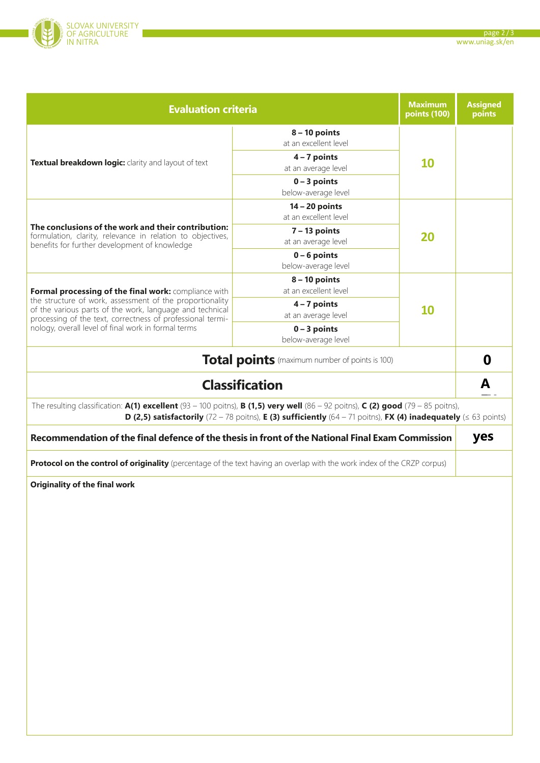

| <b>Evaluation criteria</b>                                                                                                                                                                                                                                                       |                                           |           | <b>Assigned</b><br>points |  |  |  |
|----------------------------------------------------------------------------------------------------------------------------------------------------------------------------------------------------------------------------------------------------------------------------------|-------------------------------------------|-----------|---------------------------|--|--|--|
|                                                                                                                                                                                                                                                                                  | $8 - 10$ points<br>at an excellent level  | <b>10</b> |                           |  |  |  |
| Textual breakdown logic: clarity and layout of text                                                                                                                                                                                                                              | $4 - 7$ points<br>at an average level     |           |                           |  |  |  |
|                                                                                                                                                                                                                                                                                  | $0 - 3$ points<br>below-average level     |           |                           |  |  |  |
|                                                                                                                                                                                                                                                                                  | $14 - 20$ points<br>at an excellent level | 20        |                           |  |  |  |
| The conclusions of the work and their contribution:<br>formulation, clarity, relevance in relation to objectives,<br>benefits for further development of knowledge                                                                                                               | $7 - 13$ points<br>at an average level    |           |                           |  |  |  |
|                                                                                                                                                                                                                                                                                  | $0 - 6$ points<br>below-average level     |           |                           |  |  |  |
| Formal processing of the final work: compliance with                                                                                                                                                                                                                             | $8 - 10$ points<br>at an excellent level  | 10        |                           |  |  |  |
| the structure of work, assessment of the proportionality<br>of the various parts of the work, language and technical                                                                                                                                                             | $4 - 7$ points<br>at an average level     |           |                           |  |  |  |
| processing of the text, correctness of professional termi-<br>nology, overall level of final work in formal terms                                                                                                                                                                | $0 - 3$ points<br>below-average level     |           |                           |  |  |  |
| <b>Total points</b> (maximum number of points is 100)                                                                                                                                                                                                                            |                                           |           |                           |  |  |  |
| <b>Classification</b>                                                                                                                                                                                                                                                            |                                           |           | A                         |  |  |  |
| The resulting classification: $A(1)$ excellent (93 – 100 poitns), B (1,5) very well (86 – 92 poitns), C (2) good (79 – 85 poitns),<br><b>D</b> (2,5) satisfactorily (72 - 78 poitns), <b>E</b> (3) sufficiently (64 - 71 poitns), <b>FX (4) inadequately</b> ( $\leq$ 63 points) |                                           |           |                           |  |  |  |
| Recommendation of the final defence of the thesis in front of the National Final Exam Commission                                                                                                                                                                                 |                                           |           |                           |  |  |  |
| Protocol on the control of originality (percentage of the text having an overlap with the work index of the CRZP corpus)                                                                                                                                                         |                                           |           |                           |  |  |  |
| <b>Originality of the final work</b>                                                                                                                                                                                                                                             |                                           |           |                           |  |  |  |
|                                                                                                                                                                                                                                                                                  |                                           |           |                           |  |  |  |
|                                                                                                                                                                                                                                                                                  |                                           |           |                           |  |  |  |
|                                                                                                                                                                                                                                                                                  |                                           |           |                           |  |  |  |
|                                                                                                                                                                                                                                                                                  |                                           |           |                           |  |  |  |
|                                                                                                                                                                                                                                                                                  |                                           |           |                           |  |  |  |
|                                                                                                                                                                                                                                                                                  |                                           |           |                           |  |  |  |